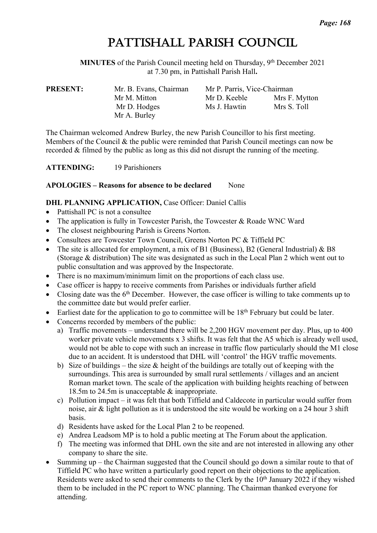# PATTISHALL PARISH COUNCIL

**MINUTES** of the Parish Council meeting held on Thursday, 9<sup>th</sup> December 2021 at 7.30 pm, in Pattishall Parish Hall**.**

| Mr. B. Evans, Chairman | Mr P. Parris, Vice-Chairman |               |  |  |
|------------------------|-----------------------------|---------------|--|--|
| Mr M. Mitton           | Mr D. Keeble                | Mrs F. Mytton |  |  |
| Mr D. Hodges           | Ms J. Hawtin                | Mrs S. Toll   |  |  |
| Mr A. Burley           |                             |               |  |  |
|                        |                             |               |  |  |

The Chairman welcomed Andrew Burley, the new Parish Councillor to his first meeting. Members of the Council & the public were reminded that Parish Council meetings can now be recorded & filmed by the public as long as this did not disrupt the running of the meeting.

**ATTENDING:** 19 Parishioners

### **APOLOGIES – Reasons for absence to be declared** None

### **DHL PLANNING APPLICATION, Case Officer: Daniel Callis**

- Pattishall PC is not a consultee
- The application is fully in Towcester Parish, the Towcester & Roade WNC Ward
- The closest neighbouring Parish is Greens Norton.
- Consultees are Towcester Town Council, Greens Norton PC & Tiffield PC
- The site is allocated for employment, a mix of B1 (Business), B2 (General Industrial) & B8 (Storage & distribution) The site was designated as such in the Local Plan 2 which went out to public consultation and was approved by the Inspectorate.
- There is no maximum/minimum limit on the proportions of each class use.
- Case officer is happy to receive comments from Parishes or individuals further afield
- Closing date was the  $6<sup>th</sup>$  December. However, the case officer is willing to take comments up to the committee date but would prefer earlier.
- Earliest date for the application to go to committee will be  $18<sup>th</sup>$  February but could be later.
- Concerns recorded by members of the public:
	- a) Traffic movements understand there will be 2,200 HGV movement per day. Plus, up to 400 worker private vehicle movements x 3 shifts. It was felt that the A5 which is already well used, would not be able to cope with such an increase in traffic flow particularly should the M1 close due to an accident. It is understood that DHL will 'control' the HGV traffic movements.
	- b) Size of buildings the size  $\&$  height of the buildings are totally out of keeping with the surroundings. This area is surrounded by small rural settlements / villages and an ancient Roman market town. The scale of the application with building heights reaching of between 18.5m to 24.5m is unacceptable & inappropriate.
	- c) Pollution impact it was felt that both Tiffield and Caldecote in particular would suffer from noise, air & light pollution as it is understood the site would be working on a 24 hour 3 shift basis.
	- d) Residents have asked for the Local Plan 2 to be reopened.
	- e) Andrea Leadsom MP is to hold a public meeting at The Forum about the application.
	- f) The meeting was informed that DHL own the site and are not interested in allowing any other company to share the site.
- Summing up the Chairman suggested that the Council should go down a similar route to that of Tiffield PC who have written a particularly good report on their objections to the application. Residents were asked to send their comments to the Clerk by the 10<sup>th</sup> January 2022 if they wished them to be included in the PC report to WNC planning. The Chairman thanked everyone for attending.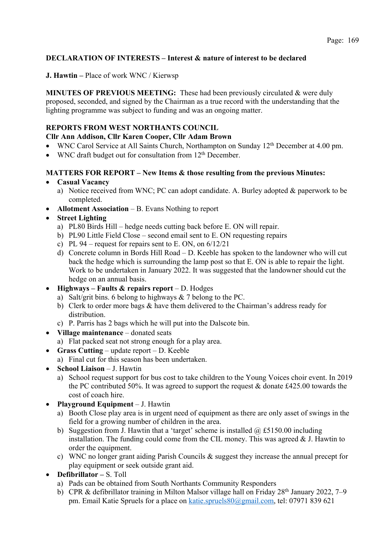### Page: 169

# **DECLARATION OF INTERESTS – Interest & nature of interest to be declared**

**J. Hawtin –** Place of work WNC / Kierwsp

**MINUTES OF PREVIOUS MEETING:** These had been previously circulated & were duly proposed, seconded, and signed by the Chairman as a true record with the understanding that the lighting programme was subject to funding and was an ongoing matter.

### **REPORTS FROM WEST NORTHANTS COUNCIL**

### **Cllr Ann Addison, Cllr Karen Cooper, Cllr Adam Brown**

- WNC Carol Service at All Saints Church, Northampton on Sunday 12<sup>th</sup> December at 4.00 pm.
- WNC draft budget out for consultation from  $12<sup>th</sup>$  December.

### **MATTERS FOR REPORT – New Items & those resulting from the previous Minutes:**

- **Casual Vacancy**
	- a) Notice received from WNC; PC can adopt candidate. A. Burley adopted & paperwork to be completed.
- **Allotment Association** B. Evans Nothing to report
- **Street Lighting**
	- a) PL80 Birds Hill hedge needs cutting back before E. ON will repair.
	- b) PL90 Little Field Close second email sent to E. ON requesting repairs
	- c) PL 94 request for repairs sent to E. ON, on  $6/12/21$
	- d) Concrete column in Bords Hill Road D. Keeble has spoken to the landowner who will cut back the hedge which is surrounding the lamp post so that E. ON is able to repair the light. Work to be undertaken in January 2022. It was suggested that the landowner should cut the hedge on an annual basis.
- **Highways – Faults & repairs report** D. Hodges
	- a) Salt/grit bins. 6 belong to highways & 7 belong to the PC.
	- b) Clerk to order more bags & have them delivered to the Chairman's address ready for distribution.
	- c) P. Parris has 2 bags which he will put into the Dalscote bin.
- **Village maintenance** donated seats
	- a) Flat packed seat not strong enough for a play area.
- **Grass Cutting** update report D. Keeble
	- a) Final cut for this season has been undertaken.
- **School Liaison** J. Hawtin
	- a) School request support for bus cost to take children to the Young Voices choir event. In 2019 the PC contributed 50%. It was agreed to support the request & donate £425.00 towards the cost of coach hire.
- **Playground Equipment** J. Hawtin
	- a) Booth Close play area is in urgent need of equipment as there are only asset of swings in the field for a growing number of children in the area.
	- b) Suggestion from J. Hawtin that a 'target' scheme is installed  $\omega$  £5150.00 including installation. The funding could come from the CIL money. This was agreed  $&$  J. Hawtin to order the equipment.
	- c) WNC no longer grant aiding Parish Councils & suggest they increase the annual precept for play equipment or seek outside grant aid.
- **Defibrillator –** S. Toll
	- a) Pads can be obtained from South Northants Community Responders
	- b) CPR & defibrillator training in Milton Malsor village hall on Friday 28<sup>th</sup> January 2022, 7–9 pm. Email Katie Spruels for a place on katie.spruels80@gmail.com, tel: 07971 839 621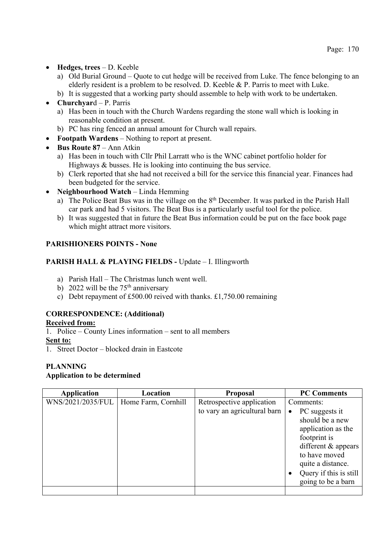- **Hedges, trees** D. Keeble
	- a) Old Burial Ground Quote to cut hedge will be received from Luke. The fence belonging to an elderly resident is a problem to be resolved. D. Keeble & P. Parris to meet with Luke.
	- b) It is suggested that a working party should assemble to help with work to be undertaken.
- **Churchyar**d P. Parris
	- a) Has been in touch with the Church Wardens regarding the stone wall which is looking in reasonable condition at present.
	- b) PC has ring fenced an annual amount for Church wall repairs.
- **Footpath Wardens** Nothing to report at present.
- **Bus Route 87** Ann Atkin
	- a) Has been in touch with Cllr Phil Larratt who is the WNC cabinet portfolio holder for Highways & busses. He is looking into continuing the bus service.
	- b) Clerk reported that she had not received a bill for the service this financial year. Finances had been budgeted for the service.
- **Neighbourhood Watch** Linda Hemming
	- a) The Police Beat Bus was in the village on the 8<sup>th</sup> December. It was parked in the Parish Hall car park and had 5 visitors. The Beat Bus is a particularly useful tool for the police.
	- b) It was suggested that in future the Beat Bus information could be put on the face book page which might attract more visitors.

### **PARISHIONERS POINTS - None**

### **PARISH HALL & PLAYING FIELDS -** Update – I. Illingworth

- a) Parish Hall The Christmas lunch went well.
- b) 2022 will be the  $75<sup>th</sup>$  anniversary
- c) Debt repayment of £500.00 reived with thanks. £1,750.00 remaining

# **CORRESPONDENCE: (Additional)**

### **Received from:**

1. Police – County Lines information – sent to all members

- **Sent to:**
- 1. Street Doctor blocked drain in Eastcote

# **PLANNING**

### **Application to be determined**

| <b>Application</b> | Location            | <b>Proposal</b>              | <b>PC Comments</b>          |
|--------------------|---------------------|------------------------------|-----------------------------|
| WNS/2021/2035/FUL  | Home Farm, Cornhill | Retrospective application    | Comments:                   |
|                    |                     | to vary an agricultural barn | PC suggests it<br>$\bullet$ |
|                    |                     |                              | should be a new             |
|                    |                     |                              | application as the          |
|                    |                     |                              | footprint is                |
|                    |                     |                              | different $&$ appears       |
|                    |                     |                              | to have moved               |
|                    |                     |                              | quite a distance.           |
|                    |                     |                              | Query if this is still      |
|                    |                     |                              | going to be a barn          |
|                    |                     |                              |                             |